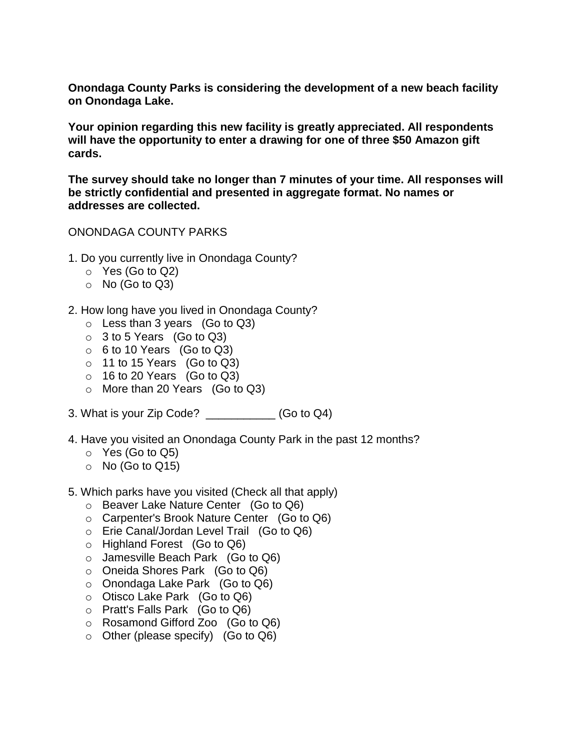**Onondaga County Parks is considering the development of a new beach facility on Onondaga Lake.**

**Your opinion regarding this new facility is greatly appreciated. All respondents will have the opportunity to enter a drawing for one of three \$50 Amazon gift cards.**

**The survey should take no longer than 7 minutes of your time. All responses will be strictly confidential and presented in aggregate format. No names or addresses are collected.**

ONONDAGA COUNTY PARKS

- 1. Do you currently live in Onondaga County?
	- $\circ$  Yes (Go to Q2)
	- $\circ$  No (Go to Q3)
- 2. How long have you lived in Onondaga County?
	- o Less than 3 years (Go to Q3)
	- $\circ$  3 to 5 Years (Go to Q3)
	- $\circ$  6 to 10 Years (Go to Q3)
	- $\circ$  11 to 15 Years (Go to Q3)
	- $\circ$  16 to 20 Years (Go to Q3)
	- o More than 20 Years (Go to Q3)
- 3. What is your Zip Code? \_\_\_\_\_\_\_\_\_\_\_ (Go to Q4)
- 4. Have you visited an Onondaga County Park in the past 12 months?
	- $\circ$  Yes (Go to Q5)
	- $\circ$  No (Go to Q15)
- 5. Which parks have you visited (Check all that apply)
	- o Beaver Lake Nature Center (Go to Q6)
	- o Carpenter's Brook Nature Center (Go to Q6)
	- o Erie Canal/Jordan Level Trail (Go to Q6)
	- o Highland Forest (Go to Q6)
	- o Jamesville Beach Park (Go to Q6)
	- o Oneida Shores Park (Go to Q6)
	- o Onondaga Lake Park (Go to Q6)
	- o Otisco Lake Park (Go to Q6)
	- o Pratt's Falls Park (Go to Q6)
	- o Rosamond Gifford Zoo (Go to Q6)
	- o Other (please specify) (Go to Q6)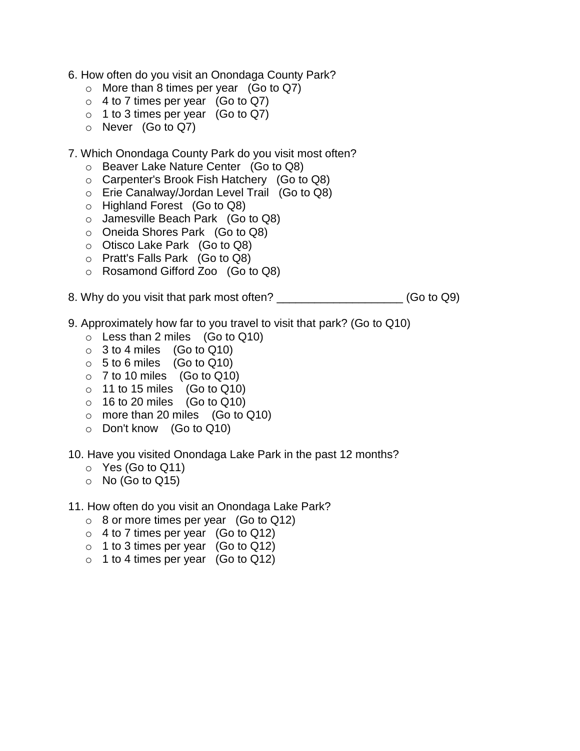- 6. How often do you visit an Onondaga County Park?
	- o More than 8 times per year (Go to Q7)
	- $\circ$  4 to 7 times per year (Go to Q7)
	- $\circ$  1 to 3 times per year (Go to Q7)
	- o Never (Go to Q7)
- 7. Which Onondaga County Park do you visit most often?
	- o Beaver Lake Nature Center (Go to Q8)
	- o Carpenter's Brook Fish Hatchery (Go to Q8)
	- o Erie Canalway/Jordan Level Trail (Go to Q8)
	- o Highland Forest (Go to Q8)
	- o Jamesville Beach Park (Go to Q8)
	- o Oneida Shores Park (Go to Q8)
	- o Otisco Lake Park (Go to Q8)
	- o Pratt's Falls Park (Go to Q8)
	- o Rosamond Gifford Zoo (Go to Q8)
- 8. Why do you visit that park most often? \_\_\_\_\_\_\_\_\_\_\_\_\_\_\_\_\_\_\_\_ (Go to Q9)
- 9. Approximately how far to you travel to visit that park? (Go to Q10)
	- $\circ$  Less than 2 miles (Go to Q10)
	- $\circ$  3 to 4 miles (Go to Q10)
	- $\circ$  5 to 6 miles (Go to Q10)
	- $\circ$  7 to 10 miles (Go to Q10)
	- $\circ$  11 to 15 miles (Go to Q10)
	- $\circ$  16 to 20 miles (Go to Q10)
	- o more than 20 miles (Go to Q10)
	- o Don't know (Go to Q10)
- 10. Have you visited Onondaga Lake Park in the past 12 months?
	- $\circ$  Yes (Go to Q11)
	- $\circ$  No (Go to Q15)
- 11. How often do you visit an Onondaga Lake Park?
	- o 8 or more times per year (Go to Q12)
	- $\circ$  4 to 7 times per year (Go to Q12)
	- $\circ$  1 to 3 times per year (Go to Q12)
	- $\circ$  1 to 4 times per year (Go to Q12)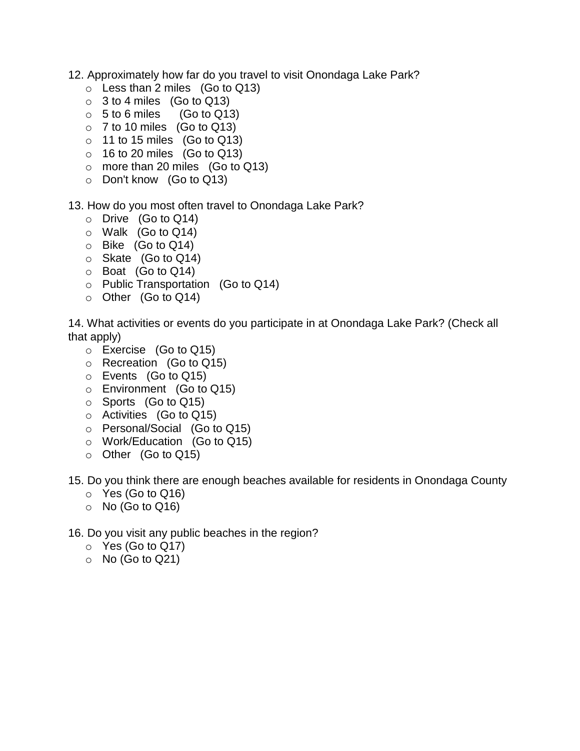- 12. Approximately how far do you travel to visit Onondaga Lake Park?
	- $\circ$  Less than 2 miles (Go to Q13)
	- $\circ$  3 to 4 miles (Go to Q13)
	- $\circ$  5 to 6 miles (Go to Q13)
	- o 7 to 10 miles (Go to Q13)
	- $\circ$  11 to 15 miles (Go to Q13)
	- $\circ$  16 to 20 miles (Go to Q13)
	- o more than 20 miles (Go to Q13)
	- o Don't know (Go to Q13)
- 13. How do you most often travel to Onondaga Lake Park?
	- o Drive (Go to Q14)
	- o Walk (Go to Q14)
	- o Bike (Go to Q14)
	- o Skate (Go to Q14)
	- o Boat (Go to Q14)
	- o Public Transportation (Go to Q14)
	- o Other (Go to Q14)

14. What activities or events do you participate in at Onondaga Lake Park? (Check all that apply)

- o Exercise (Go to Q15)
- o Recreation (Go to Q15)
- o Events (Go to Q15)
- o Environment (Go to Q15)
- o Sports (Go to Q15)
- o Activities (Go to Q15)
- o Personal/Social (Go to Q15)
- o Work/Education (Go to Q15)
- o Other (Go to Q15)

15. Do you think there are enough beaches available for residents in Onondaga County

- $\circ$  Yes (Go to Q16)
- $\circ$  No (Go to Q16)
- 16. Do you visit any public beaches in the region?
	- o Yes (Go to Q17)
	- $\circ$  No (Go to Q21)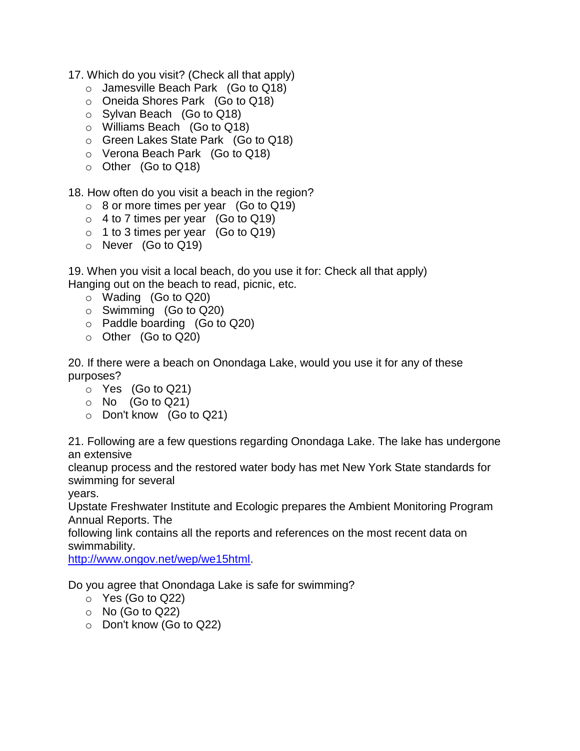17. Which do you visit? (Check all that apply)

- o Jamesville Beach Park (Go to Q18)
- o Oneida Shores Park (Go to Q18)
- o Sylvan Beach (Go to Q18)
- o Williams Beach (Go to Q18)
- o Green Lakes State Park (Go to Q18)
- o Verona Beach Park (Go to Q18)
- o Other (Go to Q18)

18. How often do you visit a beach in the region?

- o 8 or more times per year (Go to Q19)
- $\circ$  4 to 7 times per year (Go to Q19)
- $\circ$  1 to 3 times per year (Go to Q19)
- o Never (Go to Q19)

19. When you visit a local beach, do you use it for: Check all that apply) Hanging out on the beach to read, picnic, etc.

- o Wading (Go to Q20)
- $\circ$  Swimming (Go to Q20)
- o Paddle boarding (Go to Q20)
- o Other (Go to Q20)

20. If there were a beach on Onondaga Lake, would you use it for any of these purposes?

- o Yes (Go to Q21)
- $\circ$  No (Go to Q21)
- o Don't know (Go to Q21)

21. Following are a few questions regarding Onondaga Lake. The lake has undergone an extensive

cleanup process and the restored water body has met New York State standards for swimming for several

years.

Upstate Freshwater Institute and Ecologic prepares the Ambient Monitoring Program Annual Reports. The

following link contains all the reports and references on the most recent data on swimmability.

[http://www.ongov.net/wep/we15html.](http://www.ongov.net/wep/we15html)

Do you agree that Onondaga Lake is safe for swimming?

- $\circ$  Yes (Go to Q22)
- $\circ$  No (Go to Q22)
- o Don't know (Go to Q22)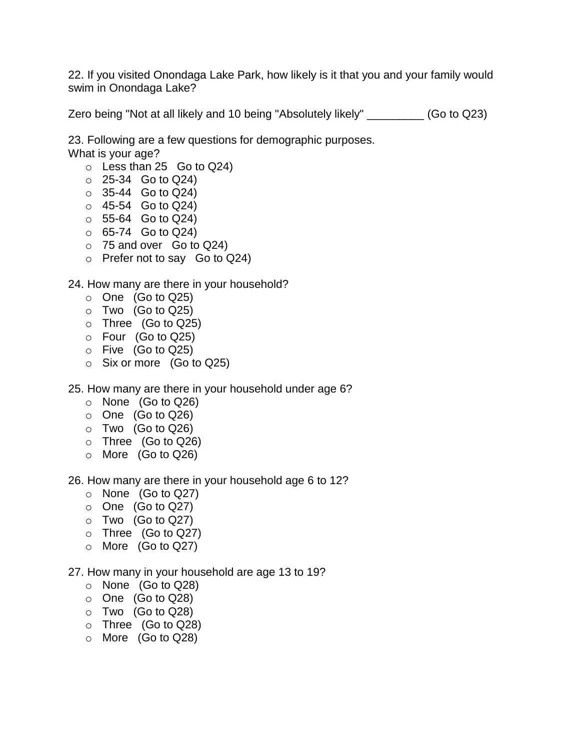22. If you visited Onondaga Lake Park, how likely is it that you and your family would swim in Onondaga Lake?

Zero being "Not at all likely and 10 being "Absolutely likely" \_\_\_\_\_\_\_\_\_ (Go to Q23)

23. Following are a few questions for demographic purposes. What is your age?

- $\circ$  Less than 25 Go to Q24)
- $\circ$  25-34 Go to Q24)
- $\circ$  35-44 Go to Q24)
- $\circ$  45-54 Go to Q24)
- $\circ$  55-64 Go to Q24)
- $\circ$  65-74 Go to Q24)
- $\circ$  75 and over Go to Q24)
- o Prefer not to say Go to Q24)

## 24. How many are there in your household?

- $\circ$  One (Go to Q25)
- $\circ$  Two (Go to Q25)
- o Three (Go to Q25)
- o Four (Go to Q25)
- o Five (Go to Q25)
- o Six or more (Go to Q25)
- 25. How many are there in your household under age 6?
	- o None (Go to Q26)
	- o One (Go to Q26)
	- $\circ$  Two (Go to Q26)
	- o Three (Go to Q26)
	- o More (Go to Q26)

## 26. How many are there in your household age 6 to 12?

- o None (Go to Q27)
- $\circ$  One (Go to Q27)
- $\circ$  Two (Go to Q27)
- o Three (Go to Q27)
- o More (Go to Q27)

## 27. How many in your household are age 13 to 19?

- o None (Go to Q28)
- o One (Go to Q28)
- o Two (Go to Q28)
- o Three (Go to Q28)
- o More (Go to Q28)